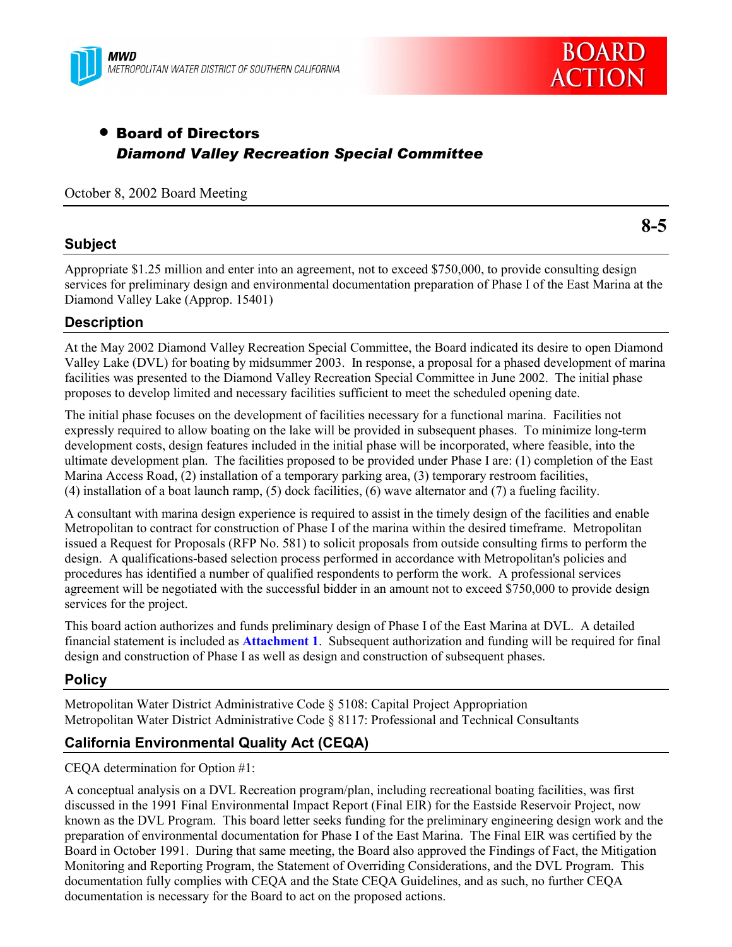



# • Board of Directors *Diamond Valley Recreation Special Committee*

October 8, 2002 Board Meeting

#### **Subject**

**8-5**

Appropriate \$1.25 million and enter into an agreement, not to exceed \$750,000, to provide consulting design services for preliminary design and environmental documentation preparation of Phase I of the East Marina at the Diamond Valley Lake (Approp. 15401)

### **Description**

At the May 2002 Diamond Valley Recreation Special Committee, the Board indicated its desire to open Diamond Valley Lake (DVL) for boating by midsummer 2003. In response, a proposal for a phased development of marina facilities was presented to the Diamond Valley Recreation Special Committee in June 2002. The initial phase proposes to develop limited and necessary facilities sufficient to meet the scheduled opening date.

The initial phase focuses on the development of facilities necessary for a functional marina. Facilities not expressly required to allow boating on the lake will be provided in subsequent phases. To minimize long-term development costs, design features included in the initial phase will be incorporated, where feasible, into the ultimate development plan. The facilities proposed to be provided under Phase I are: (1) completion of the East Marina Access Road, (2) installation of a temporary parking area, (3) temporary restroom facilities, (4) installation of a boat launch ramp, (5) dock facilities, (6) wave alternator and (7) a fueling facility.

A consultant with marina design experience is required to assist in the timely design of the facilities and enable Metropolitan to contract for construction of Phase I of the marina within the desired timeframe. Metropolitan issued a Request for Proposals (RFP No. 581) to solicit proposals from outside consulting firms to perform the design. A qualifications-based selection process performed in accordance with Metropolitan's policies and procedures has identified a number of qualified respondents to perform the work. A professional services agreement will be negotiated with the successful bidder in an amount not to exceed \$750,000 to provide design services for the project.

This board action authorizes and funds preliminary design of Phase I of the East Marina at DVL. A detailed financial statement is included as **Attachment 1**. Subsequent authorization and funding will be required for final design and construction of Phase I as well as design and construction of subsequent phases.

### **Policy**

Metropolitan Water District Administrative Code ß 5108: Capital Project Appropriation Metropolitan Water District Administrative Code ß 8117: Professional and Technical Consultants

## **California Environmental Quality Act (CEQA)**

CEQA determination for Option #1:

A conceptual analysis on a DVL Recreation program/plan, including recreational boating facilities, was first discussed in the 1991 Final Environmental Impact Report (Final EIR) for the Eastside Reservoir Project, now known as the DVL Program. This board letter seeks funding for the preliminary engineering design work and the preparation of environmental documentation for Phase I of the East Marina. The Final EIR was certified by the Board in October 1991. During that same meeting, the Board also approved the Findings of Fact, the Mitigation Monitoring and Reporting Program, the Statement of Overriding Considerations, and the DVL Program. This documentation fully complies with CEQA and the State CEQA Guidelines, and as such, no further CEQA documentation is necessary for the Board to act on the proposed actions.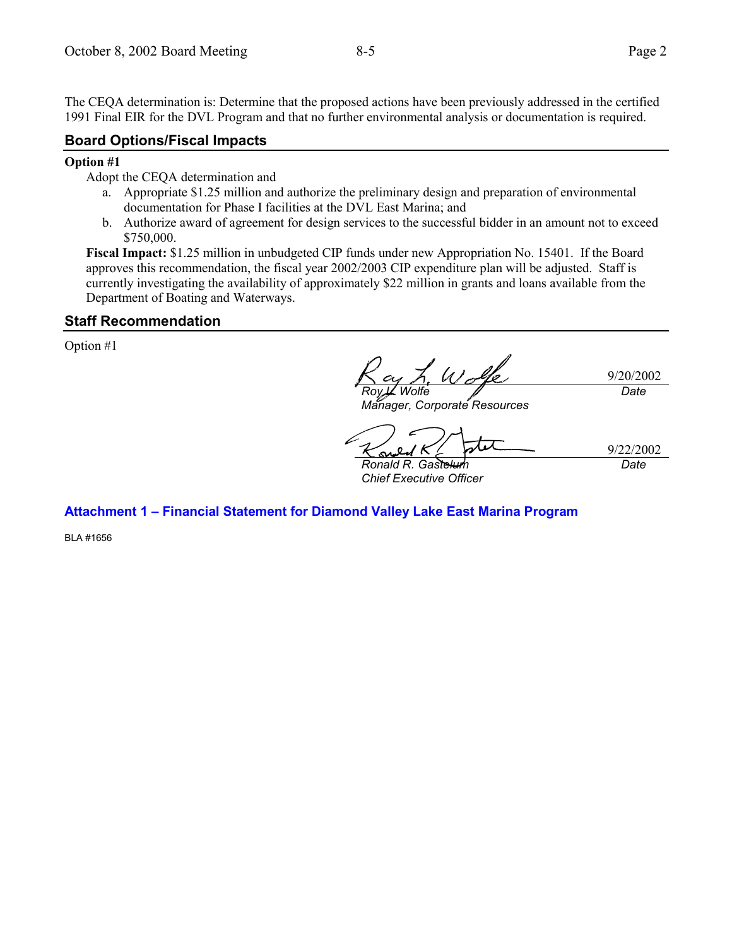The CEQA determination is: Determine that the proposed actions have been previously addressed in the certified 1991 Final EIR for the DVL Program and that no further environmental analysis or documentation is required.

#### **Board Options/Fiscal Impacts**

#### **Option #1**

Adopt the CEQA determination and

- a. Appropriate \$1.25 million and authorize the preliminary design and preparation of environmental documentation for Phase I facilities at the DVL East Marina; and
- b. Authorize award of agreement for design services to the successful bidder in an amount not to exceed \$750,000.

**Fiscal Impact:** \$1.25 million in unbudgeted CIP funds under new Appropriation No. 15401. If the Board approves this recommendation, the fiscal year 2002/2003 CIP expenditure plan will be adjusted. Staff is currently investigating the availability of approximately \$22 million in grants and loans available from the Department of Boating and Waterways.

#### **Staff Recommendation**

Option #1

9/20/2002 *Roy L. Wolfe Date*

*Manager, Corporate Resources*

9/22/2002

*Date*

*Ronald R. Gastelum Chief Executive Officer*

**Attachment 1 - Financial Statement for Diamond Valley Lake East Marina Program** 

BLA #1656